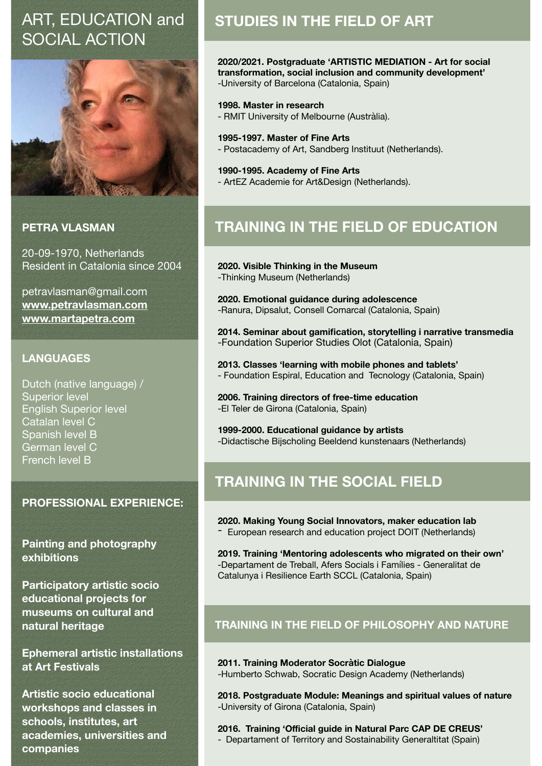# ART, EDUCATION and SOCIAL ACTION



## **PETRA VI ASMAN**

20-09-1970, Netherlands Resident in Catalonia since 2004

petravlasman@gmail.com **[www.petravlasman.com](http://www.petravlasman.com) [www.martapetra.com](http://www.martapetra.com)**

## **LANGUAGES**

Dutch (native language) / Superior level English Superior level Catalan level C Spanish level B German level C French level B

### **PROFESSIONAL EXPERIENCE:**

**Painting and photography exhibitions** 

**Participatory artistic socio educational projects for museums on cultural and natural heritage** 

**Ephemeral artistic installations at Art Festivals** 

**Artistic socio educational workshops and classes in schools, institutes, art academies, universities and companies** 

## **STUDIES IN THE FIELD OF ART**

**2020/2021. Postgraduate 'ARTISTIC MEDIATION - Art for social transformation, social inclusion and community development'**  -University of Barcelona (Catalonia, Spain)

#### **1998. Master in research**

- RMIT University of Melbourne (Austràlia).

#### **1995-1997. Master of Fine Arts**

- Postacademy of Art, Sandberg Instituut (Netherlands).

#### **1990-1995. Academy of Fine Arts**

- ArtEZ Academie for Art&Design (Netherlands).

## **TRAINING IN THE FIELD OF EDUCATION**

**2020. Visible Thinking in the Museum**  -Thinking Museum (Netherlands)

**2020. Emotional guidance during adolescence**  -Ranura, Dipsalut, Consell Comarcal (Catalonia, Spain)

**2014. Seminar about gamification, storytelling i narrative transmedia**  -Foundation Superior Studies Olot (Catalonia, Spain)

**2013. Classes 'learning with mobile phones and tablets'**  - Foundation Espiral, Education and Tecnology (Catalonia, Spain)

**2006. Training directors of free-time education**  -El Teler de Girona (Catalonia, Spain)

**1999-2000. Educational guidance by artists**  -Didactische Bijscholing Beeldend kunstenaars (Netherlands)

## **TRAINING IN THE SOCIAL FIELD**

**2020. Making Young Social Innovators, maker education lab** 

- European research and education project DOIT (Netherlands)

**2019. Training 'Mentoring adolescents who migrated on their own'**  -Departament de Treball, Afers Socials i Famílies - Generalitat de Catalunya i Resilience Earth SCCL (Catalonia, Spain)

## **TRAINING IN THE FIELD OF PHILOSOPHY AND NATURE**

**2011. Training Moderator Socràtic Dialogue**  -Humberto Schwab, Socratic Design Academy (Netherlands)

**2018. Postgraduate Module: Meanings and spiritual values of nature**  -University of Girona (Catalonia, Spain)

**2016. Training 'Official guide in Natural Parc CAP DE CREUS'**

- Departament of Territory and Sostainability Generaltitat (Spain)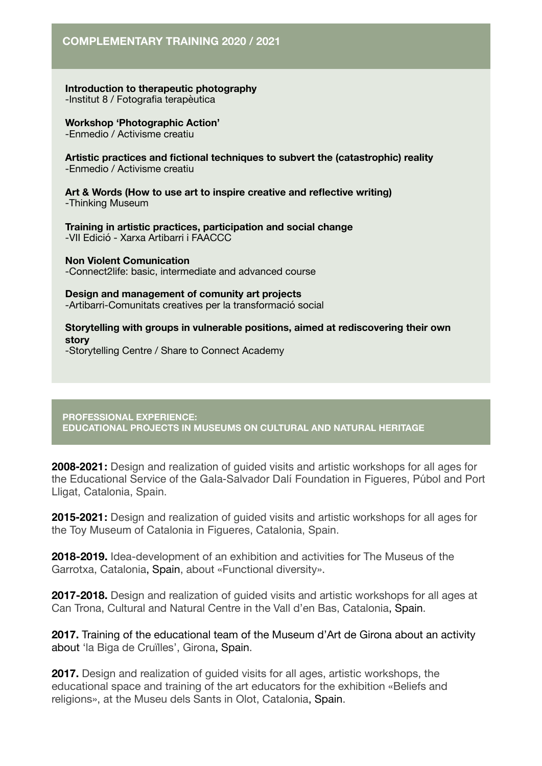**Introduction to therapeutic photography**  -Institut 8 / Fotografia terapèutica

**Workshop 'Photographic Action'**  -Enmedio / Activisme creatiu

**Artistic practices and fictional techniques to subvert the (catastrophic) reality**  -Enmedio / Activisme creatiu

**Art & Words (How to use art to inspire creative and reflective writing)**  -Thinking Museum

**Training in artistic practices, participation and social change**  -VII Edició - Xarxa Artibarri i FAACCC

**Non Violent Comunication**  -Connect2life: basic, intermediate and advanced course

**Design and management of comunity art projects**  -Artibarri-Comunitats creatives per la transformació social

**Storytelling with groups in vulnerable positions, aimed at rediscovering their own story** 

-Storytelling Centre / Share to Connect Academy

**PROFESSIONAL EXPERIENCE: EDUCATIONAL PROJECTS IN MUSEUMS ON CULTURAL AND NATURAL HERITAGE** 

**2008-2021:** Design and realization of guided visits and artistic workshops for all ages for the Educational Service of the Gala-Salvador Dalí Foundation in Figueres, Púbol and Port Lligat, Catalonia, Spain.

**2015-2021:** Design and realization of guided visits and artistic workshops for all ages for the Toy Museum of Catalonia in Figueres, Catalonia, Spain.

**2018-2019.** Idea-development of an exhibition and activities for The Museus of the Garrotxa, Catalonia, Spain, about «Functional diversity».

**2017-2018.** Design and realization of guided visits and artistic workshops for all ages at Can Trona, Cultural and Natural Centre in the Vall d'en Bas, Catalonia, Spain.

**2017.** Training of the educational team of the Museum d'Art de Girona about an activity about 'la Biga de Cruïlles', Girona, Spain.

**2017.** Design and realization of guided visits for all ages, artistic workshops, the educational space and training of the art educators for the exhibition «Beliefs and religions», at the Museu dels Sants in Olot, Catalonia, Spain.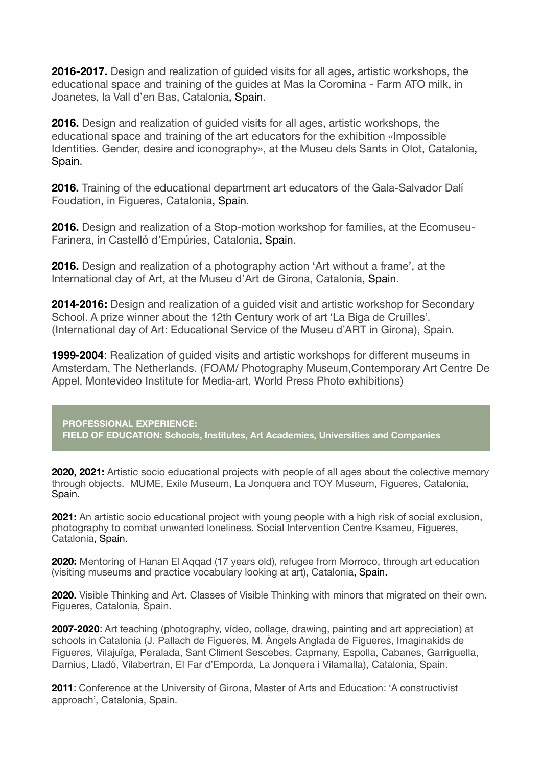**2016-2017.** Design and realization of guided visits for all ages, artistic workshops, the educational space and training of the guides at Mas la Coromina - Farm ATO milk, in Joanetes, la Vall d'en Bas, Catalonia, Spain.

**2016.** Design and realization of guided visits for all ages, artistic workshops, the educational space and training of the art educators for the exhibition «Impossible Identities. Gender, desire and iconography», at the Museu dels Sants in Olot, Catalonia, Spain.

**2016.** Training of the educational department art educators of the Gala-Salvador Dalí Foudation, in Figueres, Catalonia, Spain.

**2016.** Design and realization of a Stop-motion workshop for families, at the Ecomuseu-Farinera, in Castelló d'Empúries, Catalonia, Spain.

**2016.** Design and realization of a photography action 'Art without a frame', at the International day of Art, at the Museu d'Art de Girona, Catalonia, Spain.

**2014-2016:** Design and realization of a guided visit and artistic workshop for Secondary School. A prize winner about the 12th Century work of art 'La Biga de Cruïlles'. (International day of Art: Educational Service of the Museu d'ART in Girona), Spain.

**1999-2004**: Realization of guided visits and artistic workshops for different museums in Amsterdam, The Netherlands. (FOAM/ Photography Museum,Contemporary Art Centre De Appel, Montevideo Institute for Media-art, World Press Photo exhibitions)

**PROFESSIONAL EXPERIENCE: FIELD OF EDUCATION: Schools, Institutes, Art Academies, Universities and Companies** 

**2020, 2021:** Artistic socio educational projects with people of all ages about the colective memory through objects. MUME, Exile Museum, La Jonquera and TOY Museum, Figueres, Catalonia, Spain.

**2021:** An artistic socio educational project with young people with a high risk of social exclusion, photography to combat unwanted loneliness. Social Intervention Centre Ksameu, Figueres, Catalonia, Spain.

**2020:** Mentoring of Hanan El Aqqad (17 years old), refugee from Morroco, through art education (visiting museums and practice vocabulary looking at art), Catalonia, Spain.

**2020.** Visible Thinking and Art. Classes of Visible Thinking with minors that migrated on their own. Figueres, Catalonia, Spain.

**2007-2020**: Art teaching (photography, vídeo, collage, drawing, painting and art appreciation) at schools in Catalonia (J. Pallach de Figueres, M. Àngels Anglada de Figueres, Imaginakids de Figueres, Vilajuïga, Peralada, Sant Climent Sescebes, Capmany, Espolla, Cabanes, Garriguella, Darnius, Lladó, Vilabertran, El Far d'Emporda, La Jonquera i Vilamalla), Catalonia, Spain.

**2011**: Conference at the University of Girona, Master of Arts and Education: 'A constructivist approach', Catalonia, Spain.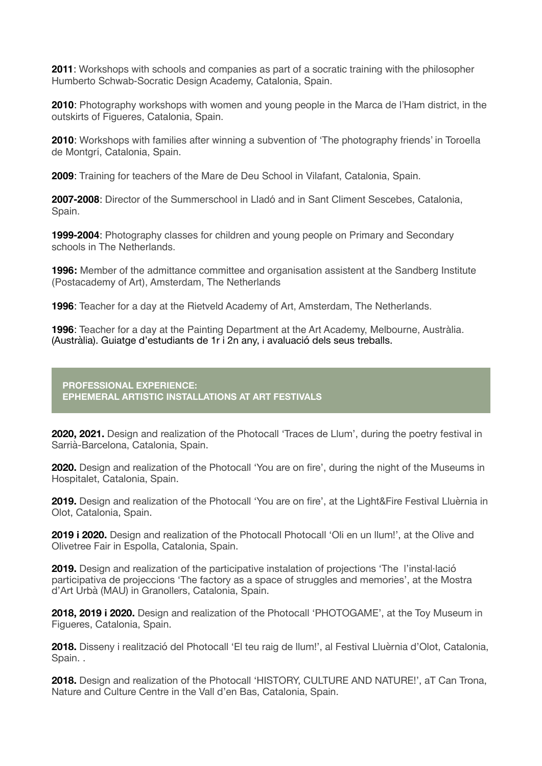**2011**: Workshops with schools and companies as part of a socratic training with the philosopher Humberto Schwab-Socratic Design Academy, Catalonia, Spain.

**2010**: Photography workshops with women and young people in the Marca de l'Ham district, in the outskirts of Figueres, Catalonia, Spain.

**2010**: Workshops with families after winning a subvention of 'The photography friends' in Toroella de Montgrí, Catalonia, Spain.

**2009**: Training for teachers of the Mare de Deu School in Vilafant, Catalonia, Spain.

**2007-2008**: Director of the Summerschool in Lladó and in Sant Climent Sescebes, Catalonia, Spain.

**1999-2004**: Photography classes for children and young people on Primary and Secondary schools in The Netherlands.

**1996:** Member of the admittance committee and organisation assistent at the Sandberg Institute (Postacademy of Art), Amsterdam, The Netherlands

**1996**: Teacher for a day at the Rietveld Academy of Art, Amsterdam, The Netherlands.

**1996**: Teacher for a day at the Painting Department at the Art Academy, Melbourne, Austràlia. (Austràlia). Guiatge d'estudiants de 1r i 2n any, i avaluació dels seus treballs.

#### **PROFESSIONAL EXPERIENCE: EPHEMERAL ARTISTIC INSTALLATIONS AT ART FESTIVALS**

2020, 2021. Design and realization of the Photocall 'Traces de Llum', during the poetry festival in Sarrià-Barcelona, Catalonia, Spain.

**2020.** Design and realization of the Photocall 'You are on fire', during the night of the Museums in Hospitalet, Catalonia, Spain.

**2019.** Design and realization of the Photocall 'You are on fire', at the Light&Fire Festival Lluèrnia in Olot, Catalonia, Spain.

**2019 i 2020.** Design and realization of the Photocall Photocall 'Oli en un llum!', at the Olive and Olivetree Fair in Espolla, Catalonia, Spain.

**2019.** Design and realization of the participative instalation of projections 'The l'instal·lació participativa de projeccions 'The factory as a space of struggles and memories', at the Mostra d'Art Urbà (MAU) in Granollers, Catalonia, Spain.

**2018, 2019 i 2020.** Design and realization of the Photocall 'PHOTOGAME', at the Toy Museum in Figueres, Catalonia, Spain.

**2018.** Disseny i realització del Photocall 'El teu raig de llum!', al Festival Lluèrnia d'Olot, Catalonia, Spain. .

**2018.** Design and realization of the Photocall 'HISTORY, CULTURE AND NATURE!', aT Can Trona, Nature and Culture Centre in the Vall d'en Bas, Catalonia, Spain.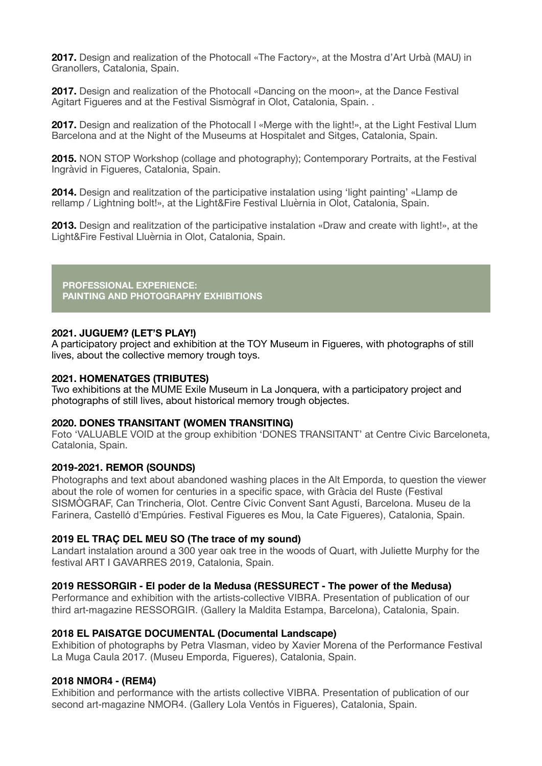**2017.** Design and realization of the Photocall «The Factory», at the Mostra d'Art Urbà (MAU) in Granollers, Catalonia, Spain.

**2017.** Design and realization of the Photocall «Dancing on the moon», at the Dance Festival Agitart Figueres and at the Festival Sismògraf in Olot, Catalonia, Spain. .

**2017.** Design and realization of the Photocall I «Merge with the light!», at the Light Festival Llum Barcelona and at the Night of the Museums at Hospitalet and Sitges, Catalonia, Spain.

**2015.** NON STOP Workshop (collage and photography); Contemporary Portraits, at the Festival Ingràvid in Figueres, Catalonia, Spain.

**2014.** Design and realitzation of the participative instalation using 'light painting' «Llamp de rellamp / Lightning bolt!», at the Light&Fire Festival Lluèrnia in Olot, Catalonia, Spain.

**2013.** Design and realitzation of the participative instalation «Draw and create with light!», at the Light&Fire Festival Lluèrnia in Olot, Catalonia, Spain.

**PROFESSIONAL EXPERIENCE: PAINTING AND PHOTOGRAPHY EXHIBITIONS** 

#### **2021. JUGUEM? (LET'S PLAY!)**

A participatory project and exhibition at the TOY Museum in Figueres, with photographs of still lives, about the collective memory trough toys.

#### **2021. HOMENATGES (TRIBUTES)**

Two exhibitions at the MUME Exile Museum in La Jonquera, with a participatory project and photographs of still lives, about historical memory trough objectes.

#### **2020. DONES TRANSITANT (WOMEN TRANSITING)**

Foto 'VALUABLE VOID at the group exhibition 'DONES TRANSITANT' at Centre Civic Barceloneta, Catalonia, Spain.

#### **2019-2021. REMOR (SOUNDS)**

Photographs and text about abandoned washing places in the Alt Emporda, to question the viewer about the role of women for centuries in a specific space, with Gràcia del Ruste (Festival SISMÒGRAF, Can Trincheria, Olot. Centre Cívic Convent Sant Agustí, Barcelona. Museu de la Farinera, Castelló d'Empúries. Festival Figueres es Mou, la Cate Figueres), Catalonia, Spain.

#### **2019 EL TRAÇ DEL MEU SO (The trace of my sound)**

Landart instalation around a 300 year oak tree in the woods of Quart, with Juliette Murphy for the festival ART I GAVARRES 2019, Catalonia, Spain.

#### **2019 RESSORGIR - El poder de la Medusa (RESSURECT - The power of the Medusa)**

Performance and exhibition with the artists-collective VIBRA. Presentation of publication of our third art-magazine RESSORGIR. (Gallery la Maldita Estampa, Barcelona), Catalonia, Spain.

#### **2018 EL PAISATGE DOCUMENTAL (Documental Landscape)**

Exhibition of photographs by Petra Vlasman, video by Xavier Morena of the Performance Festival La Muga Caula 2017. (Museu Emporda, Figueres), Catalonia, Spain.

#### **2018 NMOR4 - (REM4)**

Exhibition and performance with the artists collective VIBRA. Presentation of publication of our second art-magazine NMOR4. (Gallery Lola Ventós in Figueres), Catalonia, Spain.